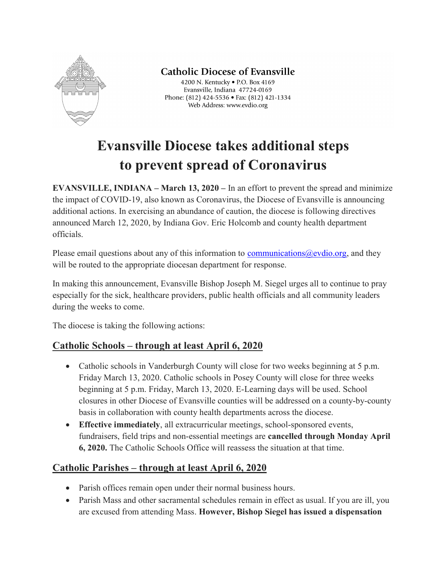

# **Catholic Diocese of Evansville**

4200 N. Kentucky . P.O. Box 4169 Evansville, Indiana 47724-0169 Phone: (812) 424-5536 • Fax: (812) 421-1334 Web Address: www.evdio.org

# Evansville Diocese takes additional steps to prevent spread of Coronavirus

EVANSVILLE, INDIANA – March 13, 2020 – In an effort to prevent the spread and minimize the impact of COVID-19, also known as Coronavirus, the Diocese of Evansville is announcing additional actions. In exercising an abundance of caution, the diocese is following directives announced March 12, 2020, by Indiana Gov. Eric Holcomb and county health department officials.

Please email questions about any of this information to communications  $@$  evdio.org, and they will be routed to the appropriate diocesan department for response.

In making this announcement, Evansville Bishop Joseph M. Siegel urges all to continue to pray especially for the sick, healthcare providers, public health officials and all community leaders during the weeks to come.

The diocese is taking the following actions:

## Catholic Schools – through at least April 6, 2020

- Catholic schools in Vanderburgh County will close for two weeks beginning at 5 p.m. Friday March 13, 2020. Catholic schools in Posey County will close for three weeks beginning at 5 p.m. Friday, March 13, 2020. E-Learning days will be used. School closures in other Diocese of Evansville counties will be addressed on a county-by-county basis in collaboration with county health departments across the diocese.
- Effective immediately, all extracurricular meetings, school-sponsored events, fundraisers, field trips and non-essential meetings are cancelled through Monday April 6, 2020. The Catholic Schools Office will reassess the situation at that time.

## Catholic Parishes – through at least April 6, 2020

- Parish offices remain open under their normal business hours.
- Parish Mass and other sacramental schedules remain in effect as usual. If you are ill, you are excused from attending Mass. However, Bishop Siegel has issued a dispensation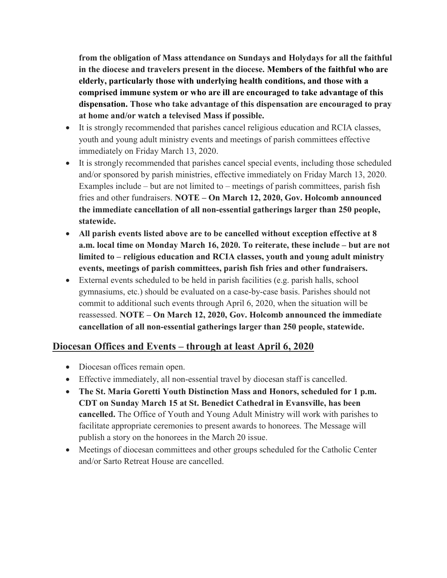from the obligation of Mass attendance on Sundays and Holydays for all the faithful in the diocese and travelers present in the diocese. Members of the faithful who are elderly, particularly those with underlying health conditions, and those with a comprised immune system or who are ill are encouraged to take advantage of this dispensation. Those who take advantage of this dispensation are encouraged to pray at home and/or watch a televised Mass if possible.

- It is strongly recommended that parishes cancel religious education and RCIA classes, youth and young adult ministry events and meetings of parish committees effective immediately on Friday March 13, 2020.
- It is strongly recommended that parishes cancel special events, including those scheduled and/or sponsored by parish ministries, effective immediately on Friday March 13, 2020. Examples include – but are not limited to – meetings of parish committees, parish fish fries and other fundraisers. NOTE – On March 12, 2020, Gov. Holcomb announced the immediate cancellation of all non-essential gatherings larger than 250 people, statewide.
- All parish events listed above are to be cancelled without exception effective at 8 a.m. local time on Monday March 16, 2020. To reiterate, these include – but are not limited to – religious education and RCIA classes, youth and young adult ministry events, meetings of parish committees, parish fish fries and other fundraisers.
- External events scheduled to be held in parish facilities (e.g. parish halls, school gymnasiums, etc.) should be evaluated on a case-by-case basis. Parishes should not commit to additional such events through April 6, 2020, when the situation will be reassessed. NOTE – On March 12, 2020, Gov. Holcomb announced the immediate cancellation of all non-essential gatherings larger than 250 people, statewide.

## Diocesan Offices and Events – through at least April 6, 2020

- Diocesan offices remain open.
- Effective immediately, all non-essential travel by diocesan staff is cancelled.
- The St. Maria Goretti Youth Distinction Mass and Honors, scheduled for 1 p.m. CDT on Sunday March 15 at St. Benedict Cathedral in Evansville, has been cancelled. The Office of Youth and Young Adult Ministry will work with parishes to facilitate appropriate ceremonies to present awards to honorees. The Message will publish a story on the honorees in the March 20 issue.
- Meetings of diocesan committees and other groups scheduled for the Catholic Center and/or Sarto Retreat House are cancelled.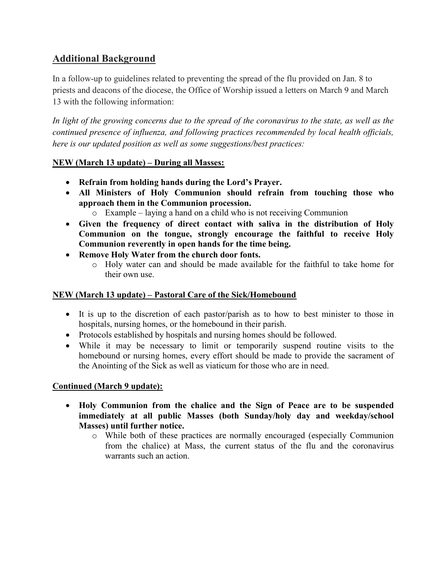## Additional Background

In a follow-up to guidelines related to preventing the spread of the flu provided on Jan. 8 to priests and deacons of the diocese, the Office of Worship issued a letters on March 9 and March 13 with the following information:

In light of the growing concerns due to the spread of the coronavirus to the state, as well as the continued presence of influenza, and following practices recommended by local health officials, here is our updated position as well as some suggestions/best practices:

#### NEW (March 13 update) – During all Masses:

- Refrain from holding hands during the Lord's Prayer.
- All Ministers of Holy Communion should refrain from touching those who approach them in the Communion procession.
	- o Example laying a hand on a child who is not receiving Communion
- Given the frequency of direct contact with saliva in the distribution of Holy Communion on the tongue, strongly encourage the faithful to receive Holy Communion reverently in open hands for the time being.
- Remove Holy Water from the church door fonts.
	- o Holy water can and should be made available for the faithful to take home for their own use.

#### NEW (March 13 update) – Pastoral Care of the Sick/Homebound

- It is up to the discretion of each pastor/parish as to how to best minister to those in hospitals, nursing homes, or the homebound in their parish.
- Protocols established by hospitals and nursing homes should be followed.
- While it may be necessary to limit or temporarily suspend routine visits to the homebound or nursing homes, every effort should be made to provide the sacrament of the Anointing of the Sick as well as viaticum for those who are in need.

#### Continued (March 9 update):

- Holy Communion from the chalice and the Sign of Peace are to be suspended immediately at all public Masses (both Sunday/holy day and weekday/school Masses) until further notice.
	- o While both of these practices are normally encouraged (especially Communion from the chalice) at Mass, the current status of the flu and the coronavirus warrants such an action.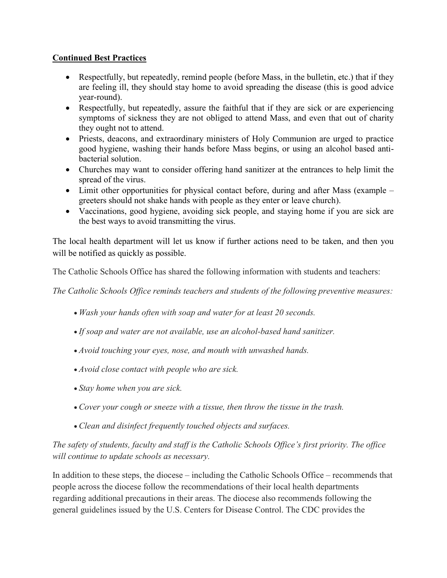#### Continued Best Practices

- Respectfully, but repeatedly, remind people (before Mass, in the bulletin, etc.) that if they are feeling ill, they should stay home to avoid spreading the disease (this is good advice year-round).
- Respectfully, but repeatedly, assure the faithful that if they are sick or are experiencing symptoms of sickness they are not obliged to attend Mass, and even that out of charity they ought not to attend.
- Priests, deacons, and extraordinary ministers of Holy Communion are urged to practice good hygiene, washing their hands before Mass begins, or using an alcohol based antibacterial solution.
- Churches may want to consider offering hand sanitizer at the entrances to help limit the spread of the virus.
- Limit other opportunities for physical contact before, during and after Mass (example greeters should not shake hands with people as they enter or leave church).
- Vaccinations, good hygiene, avoiding sick people, and staying home if you are sick are the best ways to avoid transmitting the virus.

The local health department will let us know if further actions need to be taken, and then you will be notified as quickly as possible.

The Catholic Schools Office has shared the following information with students and teachers:

The Catholic Schools Office reminds teachers and students of the following preventive measures:

- Wash your hands often with soap and water for at least 20 seconds.
- If soap and water are not available, use an alcohol-based hand sanitizer.
- Avoid touching your eyes, nose, and mouth with unwashed hands.
- Avoid close contact with people who are sick.
- Stay home when you are sick.
- Cover your cough or sneeze with a tissue, then throw the tissue in the trash.
- Clean and disinfect frequently touched objects and surfaces.

### The safety of students, faculty and staff is the Catholic Schools Office's first priority. The office will continue to update schools as necessary.

In addition to these steps, the diocese – including the Catholic Schools Office – recommends that people across the diocese follow the recommendations of their local health departments regarding additional precautions in their areas. The diocese also recommends following the general guidelines issued by the U.S. Centers for Disease Control. The CDC provides the